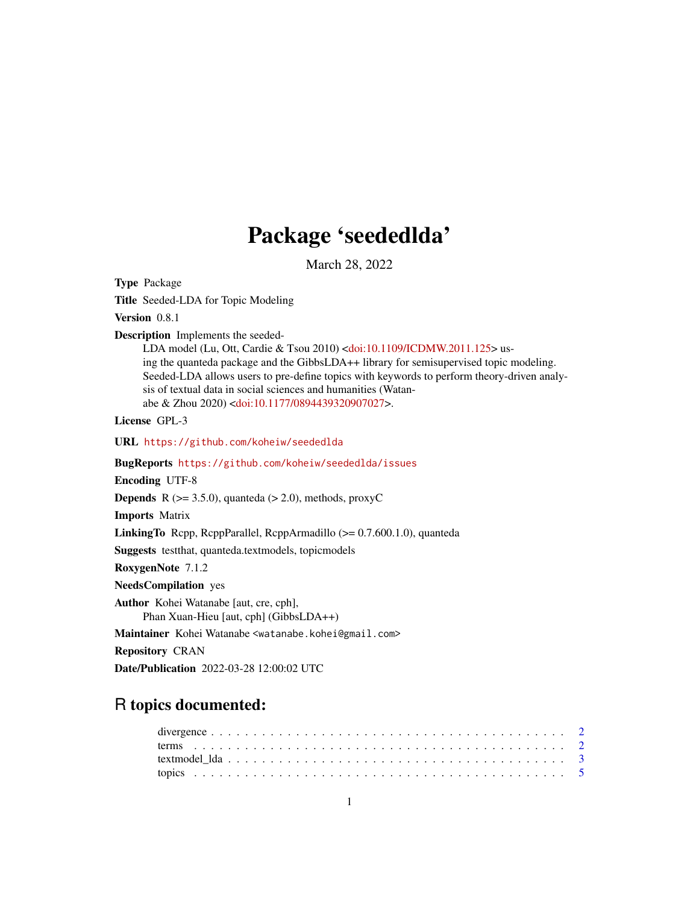## Package 'seededlda'

March 28, 2022

<span id="page-0-0"></span>Type Package

Title Seeded-LDA for Topic Modeling

Version 0.8.1

Description Implements the seeded-

LDA model (Lu, Ott, Cardie & Tsou 2010) [<doi:10.1109/ICDMW.2011.125>](https://doi.org/10.1109/ICDMW.2011.125) using the quanteda package and the GibbsLDA++ library for semisupervised topic modeling. Seeded-LDA allows users to pre-define topics with keywords to perform theory-driven analysis of textual data in social sciences and humanities (Watanabe & Zhou 2020) [<doi:10.1177/0894439320907027>](https://doi.org/10.1177/0894439320907027).

License GPL-3

URL <https://github.com/koheiw/seededlda>

BugReports <https://github.com/koheiw/seededlda/issues>

Encoding UTF-8

**Depends** R ( $>= 3.5.0$ ), quanteda ( $> 2.0$ ), methods, proxyC

Imports Matrix

LinkingTo Rcpp, RcppParallel, RcppArmadillo (>= 0.7.600.1.0), quanteda

Suggests testthat, quanteda.textmodels, topicmodels

RoxygenNote 7.1.2

NeedsCompilation yes

Author Kohei Watanabe [aut, cre, cph], Phan Xuan-Hieu [aut, cph] (GibbsLDA++)

Maintainer Kohei Watanabe <watanabe.kohei@gmail.com>

Repository CRAN

Date/Publication 2022-03-28 12:00:02 UTC

### R topics documented: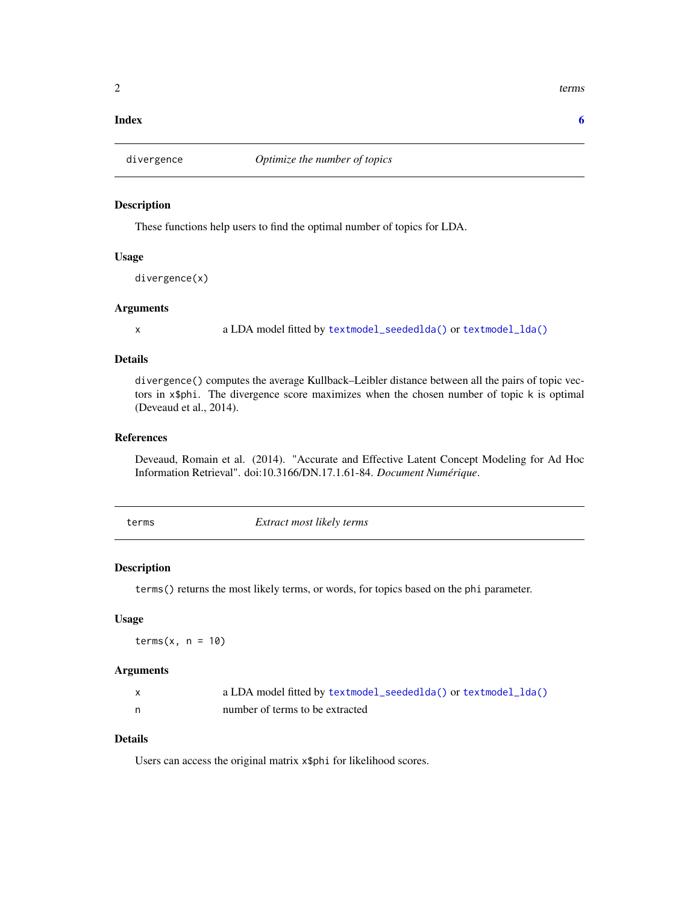#### **Index** [6](#page-5-0) **6**

#### Description

These functions help users to find the optimal number of topics for LDA.

#### Usage

divergence(x)

#### Arguments

x a LDA model fitted by [textmodel\\_seededlda\(\)](#page-2-1) or [textmodel\\_lda\(\)](#page-2-2)

#### Details

divergence() computes the average Kullback–Leibler distance between all the pairs of topic vectors in x\$phi. The divergence score maximizes when the chosen number of topic k is optimal (Deveaud et al., 2014).

#### References

Deveaud, Romain et al. (2014). "Accurate and Effective Latent Concept Modeling for Ad Hoc Information Retrieval". doi:10.3166/DN.17.1.61-84. *Document Numérique*.

terms *Extract most likely terms*

#### Description

terms() returns the most likely terms, or words, for topics based on the phi parameter.

#### Usage

 $terms(x, n = 10)$ 

#### Arguments

| a LDA model fitted by textmodel_seededlda() or textmodel_lda() |
|----------------------------------------------------------------|
| number of terms to be extracted                                |

#### Details

Users can access the original matrix x\$phi for likelihood scores.

<span id="page-1-0"></span> $2 \t = 2$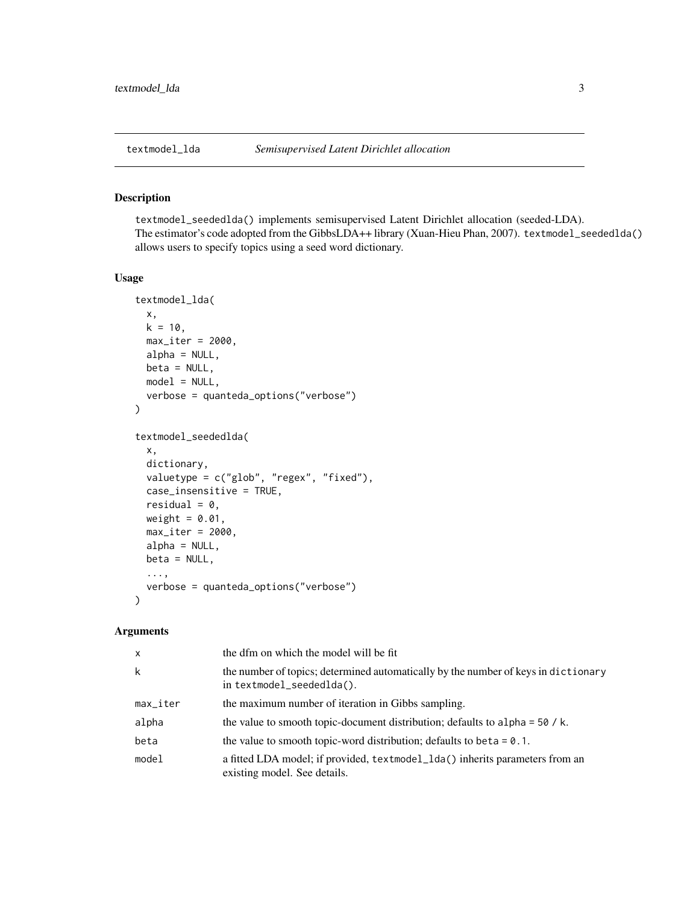<span id="page-2-2"></span><span id="page-2-0"></span>

#### <span id="page-2-1"></span>Description

textmodel\_seededlda() implements semisupervised Latent Dirichlet allocation (seeded-LDA). The estimator's code adopted from the GibbsLDA++ library (Xuan-Hieu Phan, 2007). textmodel\_seededlda() allows users to specify topics using a seed word dictionary.

#### Usage

```
textmodel_lda(
 x,
 k = 10,
 max\_iter = 2000,
 alpha = NULL,
 beta = NULL,
 model = NULL,verbose = quanteda_options("verbose")
)
textmodel_seededlda(
  x,
 dictionary,
 valuetype = c("glob", "regex", "fixed"),
 case_insensitive = TRUE,
  residual = 0,
 weight = 0.01,
 max\_iter = 2000,
 alpha = NULL,
 beta = NULL,
  ...,
 verbose = quanteda_options("verbose")
)
```
#### Arguments

| $\mathsf{x}$           | the dfm on which the model will be fit                                                                          |
|------------------------|-----------------------------------------------------------------------------------------------------------------|
| k                      | the number of topics; determined automatically by the number of keys in dictionary<br>in textmodel_seededlda(). |
| $max$ <sub>-iter</sub> | the maximum number of iteration in Gibbs sampling.                                                              |
| alpha                  | the value to smooth topic-document distribution; defaults to alpha = $50 / k$ .                                 |
| beta                   | the value to smooth topic-word distribution; defaults to be ta = $0.1$ .                                        |
| model                  | a fitted LDA model; if provided, textmodel_lda() inherits parameters from an<br>existing model. See details.    |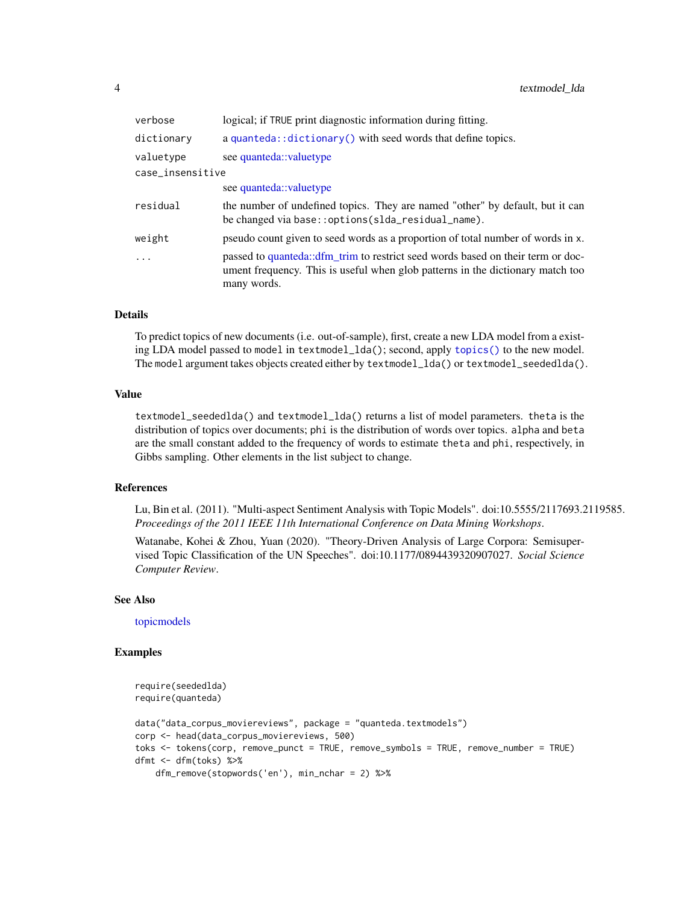<span id="page-3-0"></span>

| verbose          | logical; if TRUE print diagnostic information during fitting.                                                                                                                    |
|------------------|----------------------------------------------------------------------------------------------------------------------------------------------------------------------------------|
| dictionary       | a quanteda:: dictionary() with seed words that define topics.                                                                                                                    |
| valuetype        | see quanteda::valuetype                                                                                                                                                          |
| case_insensitive |                                                                                                                                                                                  |
|                  | see quanteda::valuetype                                                                                                                                                          |
| residual         | the number of undefined topics. They are named "other" by default, but it can<br>be changed via base:: options(slda_residual_name).                                              |
| weight           | pseudo count given to seed words as a proportion of total number of words in x.                                                                                                  |
| $\ddots$ .       | passed to quanteda::dfm trim to restrict seed words based on their term or doc-<br>ument frequency. This is useful when glob patterns in the dictionary match too<br>many words. |

#### Details

To predict topics of new documents (i.e. out-of-sample), first, create a new LDA model from a existing LDA model passed to model in textmodel\_lda(); second, apply [topics\(\)](#page-4-1) to the new model. The model argument takes objects created either by textmodel\_lda() or textmodel\_seededlda().

#### Value

textmodel\_seededlda() and textmodel\_lda() returns a list of model parameters. theta is the distribution of topics over documents; phi is the distribution of words over topics. alpha and beta are the small constant added to the frequency of words to estimate theta and phi, respectively, in Gibbs sampling. Other elements in the list subject to change.

#### References

Lu, Bin et al. (2011). "Multi-aspect Sentiment Analysis with Topic Models". doi:10.5555/2117693.2119585. *Proceedings of the 2011 IEEE 11th International Conference on Data Mining Workshops*.

Watanabe, Kohei & Zhou, Yuan (2020). "Theory-Driven Analysis of Large Corpora: Semisupervised Topic Classification of the UN Speeches". doi:10.1177/0894439320907027. *Social Science Computer Review*.

#### See Also

[topicmodels](#page-0-0)

#### Examples

```
require(seededlda)
require(quanteda)
data("data_corpus_moviereviews", package = "quanteda.textmodels")
corp <- head(data_corpus_moviereviews, 500)
toks <- tokens(corp, remove_punct = TRUE, remove_symbols = TRUE, remove_number = TRUE)
dfmt <- dfm(toks) %>%
   dfm_remove(stopwords('en'), min_nchar = 2) %>%
```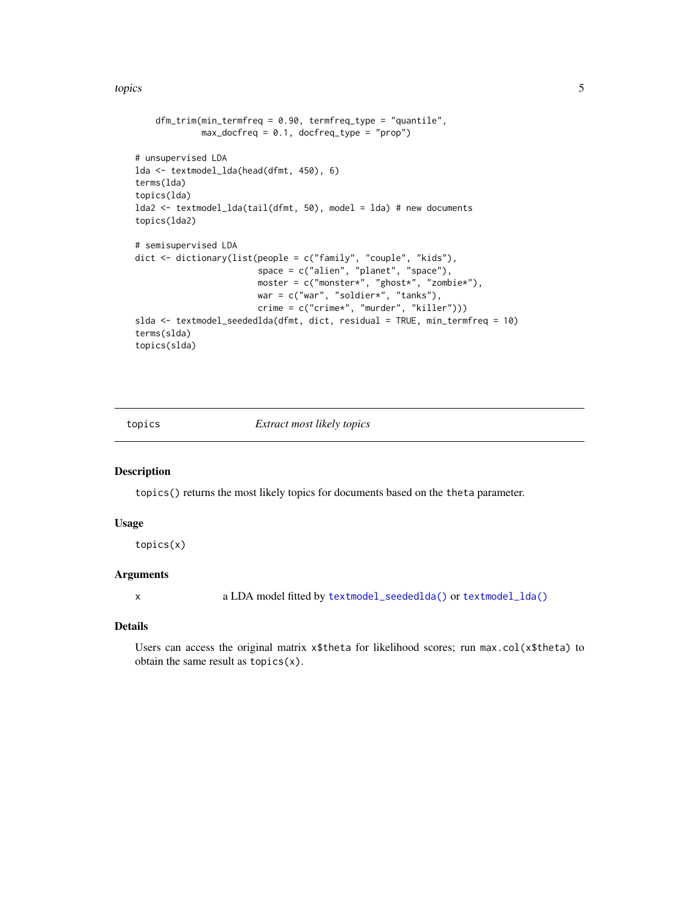<span id="page-4-0"></span>topics 5

```
dfm_trim(min_termfreq = 0.90, termfreq_type = "quantile",
            max\_docfreq = 0.1, docfreq\_type = "prop")# unsupervised LDA
lda <- textmodel_lda(head(dfmt, 450), 6)
terms(lda)
topics(lda)
lda2 <- textmodel_lda(tail(dfmt, 50), model = lda) # new documents
topics(lda2)
# semisupervised LDA
dict <- dictionary(list(people = c("family", "couple", "kids"),
                        space = c("alien", "planet", "space"),
                        moster = c("monster*", "ghost*", "zombie*"),
                        war = c("war", "soldier*", "tanks"),
                        crime = c("crime*", "murder", "killer")))
slda <- textmodel_seededlda(dfmt, dict, residual = TRUE, min_termfreq = 10)
terms(slda)
topics(slda)
```
<span id="page-4-1"></span>

topics *Extract most likely topics*

#### Description

topics() returns the most likely topics for documents based on the theta parameter.

#### Usage

topics(x)

#### Arguments

x a LDA model fitted by [textmodel\\_seededlda\(\)](#page-2-1) or [textmodel\\_lda\(\)](#page-2-2)

#### Details

Users can access the original matrix  $x$ \$theta for likelihood scores; run max.col( $x$ \$theta) to obtain the same result as topics(x).